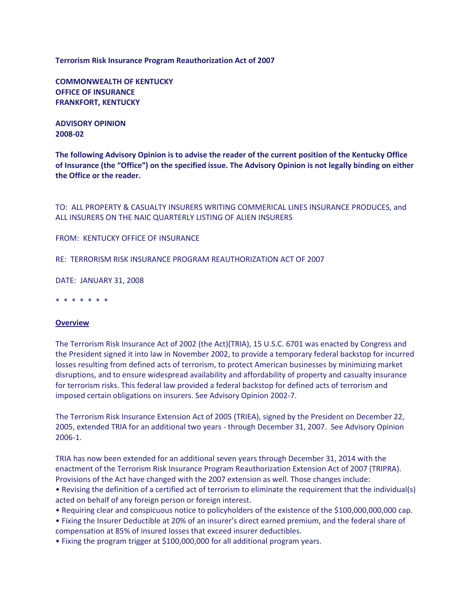**Terrorism Risk Insurance Program Reauthorization Act of 2007**

**COMMONWEALTH OF KENTUCKY OFFICE OF INSURANCE FRANKFORT, KENTUCKY**

**ADVISORY OPINION 2008-02**

**The following Advisory Opinion is to advise the reader of the current position of the Kentucky Office of Insurance (the "Office") on the specified issue. The Advisory Opinion is not legally binding on either the Office or the reader.**

TO: ALL PROPERTY & CASUALTY INSURERS WRITING COMMERICAL LINES INSURANCE PRODUCES, and ALL INSURERS ON THE NAIC QUARTERLY LISTING OF ALIEN INSURERS

FROM: KENTUCKY OFFICE OF INSURANCE

RE: TERRORISM RISK INSURANCE PROGRAM REAUTHORIZATION ACT OF 2007

DATE: JANUARY 31, 2008

\* \* \* \* \* \* \*

### **Overview**

The Terrorism Risk Insurance Act of 2002 (the Act)(TRIA), 15 U.S.C. 6701 was enacted by Congress and the President signed it into law in November 2002, to provide a temporary federal backstop for incurred losses resulting from defined acts of terrorism, to protect American businesses by minimizing market disruptions, and to ensure widespread availability and affordability of property and casualty insurance for terrorism risks. This federal law provided a federal backstop for defined acts of terrorism and imposed certain obligations on insurers. See Advisory Opinion 2002-7.

The Terrorism Risk Insurance Extension Act of 2005 (TRIEA), signed by the President on December 22, 2005, extended TRIA for an additional two years - through December 31, 2007. See Advisory Opinion 2006-1.

TRIA has now been extended for an additional seven years through December 31, 2014 with the enactment of the Terrorism Risk Insurance Program Reauthorization Extension Act of 2007 (TRIPRA). Provisions of the Act have changed with the 2007 extension as well. Those changes include:

• Revising the definition of a certified act of terrorism to eliminate the requirement that the individual(s) acted on behalf of any foreign person or foreign interest.

• Requiring clear and conspicuous notice to policyholders of the existence of the \$100,000,000,000 cap.

• Fixing the Insurer Deductible at 20% of an insurer's direct earned premium, and the federal share of compensation at 85% of insured losses that exceed insurer deductibles.

• Fixing the program trigger at \$100,000,000 for all additional program years.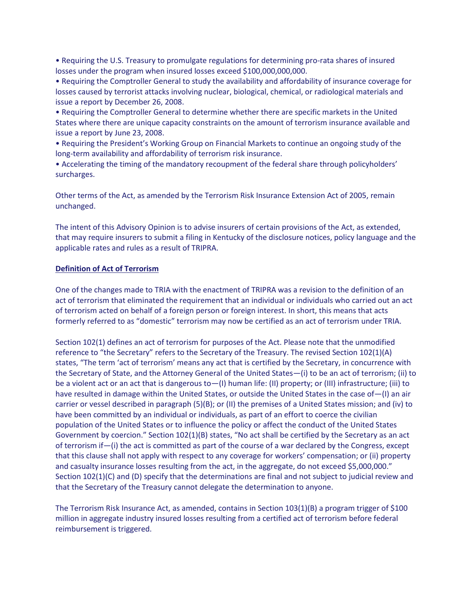• Requiring the U.S. Treasury to promulgate regulations for determining pro-rata shares of insured losses under the program when insured losses exceed \$100,000,000,000.

• Requiring the Comptroller General to study the availability and affordability of insurance coverage for losses caused by terrorist attacks involving nuclear, biological, chemical, or radiological materials and issue a report by December 26, 2008.

• Requiring the Comptroller General to determine whether there are specific markets in the United States where there are unique capacity constraints on the amount of terrorism insurance available and issue a report by June 23, 2008.

• Requiring the President's Working Group on Financial Markets to continue an ongoing study of the long-term availability and affordability of terrorism risk insurance.

• Accelerating the timing of the mandatory recoupment of the federal share through policyholders' surcharges.

Other terms of the Act, as amended by the Terrorism Risk Insurance Extension Act of 2005, remain unchanged.

The intent of this Advisory Opinion is to advise insurers of certain provisions of the Act, as extended, that may require insurers to submit a filing in Kentucky of the disclosure notices, policy language and the applicable rates and rules as a result of TRIPRA.

## **Definition of Act of Terrorism**

One of the changes made to TRIA with the enactment of TRIPRA was a revision to the definition of an act of terrorism that eliminated the requirement that an individual or individuals who carried out an act of terrorism acted on behalf of a foreign person or foreign interest. In short, this means that acts formerly referred to as "domestic" terrorism may now be certified as an act of terrorism under TRIA.

Section 102(1) defines an act of terrorism for purposes of the Act. Please note that the unmodified reference to "the Secretary" refers to the Secretary of the Treasury. The revised Section 102(1)(A) states, "The term 'act of terrorism' means any act that is certified by the Secretary, in concurrence with the Secretary of State, and the Attorney General of the United States—(i) to be an act of terrorism; (ii) to be a violent act or an act that is dangerous to—(I) human life: (II) property; or (III) infrastructure; (iii) to have resulted in damage within the United States, or outside the United States in the case of—(I) an air carrier or vessel described in paragraph (5)(B); or (II) the premises of a United States mission; and (iv) to have been committed by an individual or individuals, as part of an effort to coerce the civilian population of the United States or to influence the policy or affect the conduct of the United States Government by coercion." Section 102(1)(B) states, "No act shall be certified by the Secretary as an act of terrorism if—(i) the act is committed as part of the course of a war declared by the Congress, except that this clause shall not apply with respect to any coverage for workers' compensation; or (ii) property and casualty insurance losses resulting from the act, in the aggregate, do not exceed \$5,000,000." Section 102(1)(C) and (D) specify that the determinations are final and not subject to judicial review and that the Secretary of the Treasury cannot delegate the determination to anyone.

The Terrorism Risk Insurance Act, as amended, contains in Section 103(1)(B) a program trigger of \$100 million in aggregate industry insured losses resulting from a certified act of terrorism before federal reimbursement is triggered.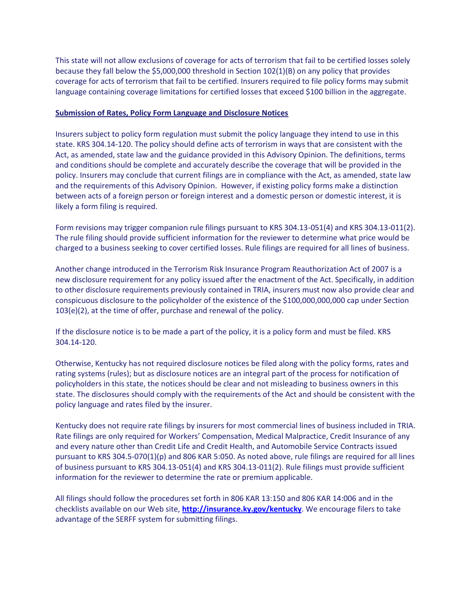This state will not allow exclusions of coverage for acts of terrorism that fail to be certified losses solely because they fall below the \$5,000,000 threshold in Section 102(1)(B) on any policy that provides coverage for acts of terrorism that fail to be certified. Insurers required to file policy forms may submit language containing coverage limitations for certified losses that exceed \$100 billion in the aggregate.

## **Submission of Rates, Policy Form Language and Disclosure Notices**

Insurers subject to policy form regulation must submit the policy language they intend to use in this state. KRS 304.14-120. The policy should define acts of terrorism in ways that are consistent with the Act, as amended, state law and the guidance provided in this Advisory Opinion. The definitions, terms and conditions should be complete and accurately describe the coverage that will be provided in the policy. Insurers may conclude that current filings are in compliance with the Act, as amended, state law and the requirements of this Advisory Opinion. However, if existing policy forms make a distinction between acts of a foreign person or foreign interest and a domestic person or domestic interest, it is likely a form filing is required.

Form revisions may trigger companion rule filings pursuant to KRS 304.13-051(4) and KRS 304.13-011(2). The rule filing should provide sufficient information for the reviewer to determine what price would be charged to a business seeking to cover certified losses. Rule filings are required for all lines of business.

Another change introduced in the Terrorism Risk Insurance Program Reauthorization Act of 2007 is a new disclosure requirement for any policy issued after the enactment of the Act. Specifically, in addition to other disclosure requirements previously contained in TRIA, insurers must now also provide clear and conspicuous disclosure to the policyholder of the existence of the \$100,000,000,000 cap under Section 103(e)(2), at the time of offer, purchase and renewal of the policy.

If the disclosure notice is to be made a part of the policy, it is a policy form and must be filed. KRS 304.14-120.

Otherwise, Kentucky has not required disclosure notices be filed along with the policy forms, rates and rating systems (rules); but as disclosure notices are an integral part of the process for notification of policyholders in this state, the notices should be clear and not misleading to business owners in this state. The disclosures should comply with the requirements of the Act and should be consistent with the policy language and rates filed by the insurer.

Kentucky does not require rate filings by insurers for most commercial lines of business included in TRIA. Rate filings are only required for Workers' Compensation, Medical Malpractice, Credit Insurance of any and every nature other than Credit Life and Credit Health, and Automobile Service Contracts issued pursuant to KRS 304.5-070(1)(p) and 806 KAR 5:050. As noted above, rule filings are required for all lines of business pursuant to KRS 304.13-051(4) and KRS 304.13-011(2). Rule filings must provide sufficient information for the reviewer to determine the rate or premium applicable.

All filings should follow the procedures set forth in 806 KAR 13:150 and 806 KAR 14:006 and in the checklists available on our Web site, **<http://insurance.ky.gov/kentucky>**. We encourage filers to take advantage of the SERFF system for submitting filings.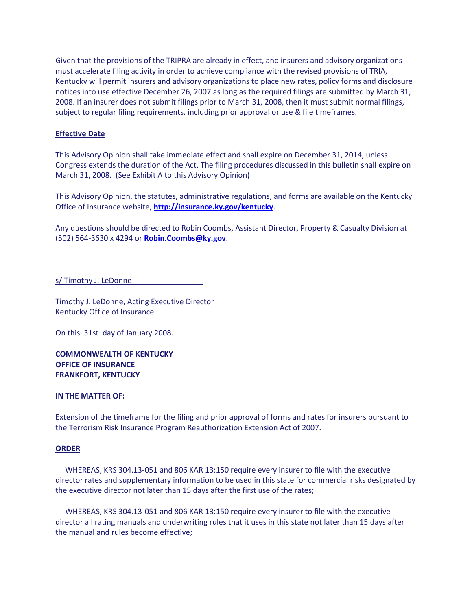Given that the provisions of the TRIPRA are already in effect, and insurers and advisory organizations must accelerate filing activity in order to achieve compliance with the revised provisions of TRIA, Kentucky will permit insurers and advisory organizations to place new rates, policy forms and disclosure notices into use effective December 26, 2007 as long as the required filings are submitted by March 31, 2008. If an insurer does not submit filings prior to March 31, 2008, then it must submit normal filings, subject to regular filing requirements, including prior approval or use & file timeframes.

# **Effective Date**

This Advisory Opinion shall take immediate effect and shall expire on December 31, 2014, unless Congress extends the duration of the Act. The filing procedures discussed in this bulletin shall expire on March 31, 2008. (See Exhibit A to this Advisory Opinion)

This Advisory Opinion, the statutes, administrative regulations, and forms are available on the Kentucky Office of Insurance website, **<http://insurance.ky.gov/kentucky>**.

Any questions should be directed to Robin Coombs, Assistant Director, Property & Casualty Division at (502) 564-3630 x 4294 or **[Robin.Coombs@ky.gov](mailto:Robin.Coombs@ky.gov)**.

s/ Timothy J. LeDonne

Timothy J. LeDonne, Acting Executive Director Kentucky Office of Insurance

On this 31st day of January 2008.

**COMMONWEALTH OF KENTUCKY OFFICE OF INSURANCE FRANKFORT, KENTUCKY**

### **IN THE MATTER OF:**

Extension of the timeframe for the filing and prior approval of forms and rates for insurers pursuant to the Terrorism Risk Insurance Program Reauthorization Extension Act of 2007.

### **ORDER**

 WHEREAS, KRS 304.13-051 and 806 KAR 13:150 require every insurer to file with the executive director rates and supplementary information to be used in this state for commercial risks designated by the executive director not later than 15 days after the first use of the rates;

 WHEREAS, KRS 304.13-051 and 806 KAR 13:150 require every insurer to file with the executive director all rating manuals and underwriting rules that it uses in this state not later than 15 days after the manual and rules become effective;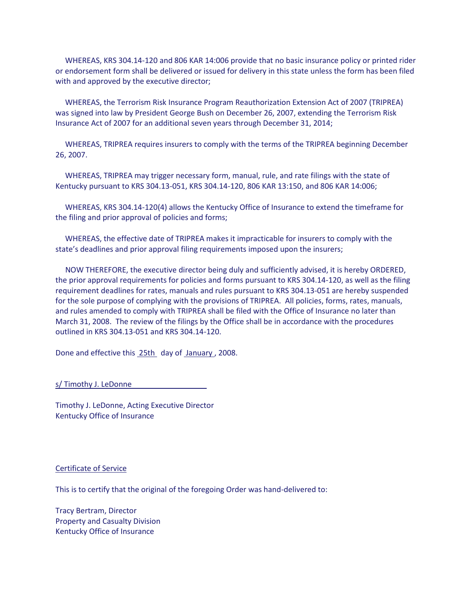WHEREAS, KRS 304.14-120 and 806 KAR 14:006 provide that no basic insurance policy or printed rider or endorsement form shall be delivered or issued for delivery in this state unless the form has been filed with and approved by the executive director;

 WHEREAS, the Terrorism Risk Insurance Program Reauthorization Extension Act of 2007 (TRIPREA) was signed into law by President George Bush on December 26, 2007, extending the Terrorism Risk Insurance Act of 2007 for an additional seven years through December 31, 2014;

 WHEREAS, TRIPREA requires insurers to comply with the terms of the TRIPREA beginning December 26, 2007.

 WHEREAS, TRIPREA may trigger necessary form, manual, rule, and rate filings with the state of Kentucky pursuant to KRS 304.13-051, KRS 304.14-120, 806 KAR 13:150, and 806 KAR 14:006;

 WHEREAS, KRS 304.14-120(4) allows the Kentucky Office of Insurance to extend the timeframe for the filing and prior approval of policies and forms;

 WHEREAS, the effective date of TRIPREA makes it impracticable for insurers to comply with the state's deadlines and prior approval filing requirements imposed upon the insurers;

 NOW THEREFORE, the executive director being duly and sufficiently advised, it is hereby ORDERED, the prior approval requirements for policies and forms pursuant to KRS 304.14-120, as well as the filing requirement deadlines for rates, manuals and rules pursuant to KRS 304.13-051 are hereby suspended for the sole purpose of complying with the provisions of TRIPREA. All policies, forms, rates, manuals, and rules amended to comply with TRIPREA shall be filed with the Office of Insurance no later than March 31, 2008. The review of the filings by the Office shall be in accordance with the procedures outlined in KRS 304.13-051 and KRS 304.14-120.

Done and effective this 25th day of January , 2008.

s/ Timothy J. LeDonne

Timothy J. LeDonne, Acting Executive Director Kentucky Office of Insurance

### Certificate of Service

This is to certify that the original of the foregoing Order was hand-delivered to:

Tracy Bertram, Director Property and Casualty Division Kentucky Office of Insurance